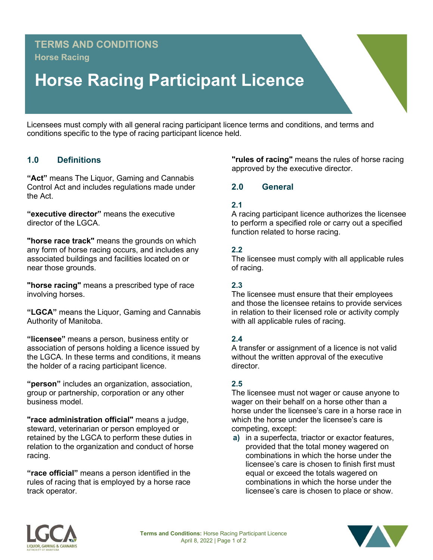# **TERMS AND CONDITIONS Horse Racing**

# **Horse Racing Participant Licence**

Licensees must comply with all general racing participant licence terms and conditions, and terms and conditions specific to the type of racing participant licence held.

### **1.0 Definitions**

**"Act"** means The Liquor, Gaming and Cannabis Control Act and includes regulations made under the Act.

**"executive director"** means the executive director of the LGCA.

**"horse race track"** means the grounds on which any form of horse racing occurs, and includes any associated buildings and facilities located on or near those grounds.

**"horse racing"** means a prescribed type of race involving horses.

**"LGCA"** means the Liquor, Gaming and Cannabis Authority of Manitoba.

**"licensee"** means a person, business entity or association of persons holding a licence issued by the LGCA. In these terms and conditions, it means the holder of a racing participant licence.

**"person"** includes an organization, association, group or partnership, corporation or any other business model.

**"race administration official"** means a judge, steward, veterinarian or person employed or retained by the LGCA to perform these duties in relation to the organization and conduct of horse racing.

**"race official"** means a person identified in the rules of racing that is employed by a horse race track operator.

**"rules of racing"** means the rules of horse racing approved by the executive director.

#### **2.0 General**

#### **2.1**

A racing participant licence authorizes the licensee to perform a specified role or carry out a specified function related to horse racing.

#### **2.2**

The licensee must comply with all applicable rules of racing.

#### **2.3**

The licensee must ensure that their employees and those the licensee retains to provide services in relation to their licensed role or activity comply with all applicable rules of racing.

#### **2.4**

A transfer or assignment of a licence is not valid without the written approval of the executive director.

#### **2.5**

The licensee must not wager or cause anyone to wager on their behalf on a horse other than a horse under the licensee's care in a horse race in which the horse under the licensee's care is competing, except:

**a)** in a superfecta, triactor or exactor features, provided that the total money wagered on combinations in which the horse under the licensee's care is chosen to finish first must equal or exceed the totals wagered on combinations in which the horse under the licensee's care is chosen to place or show.